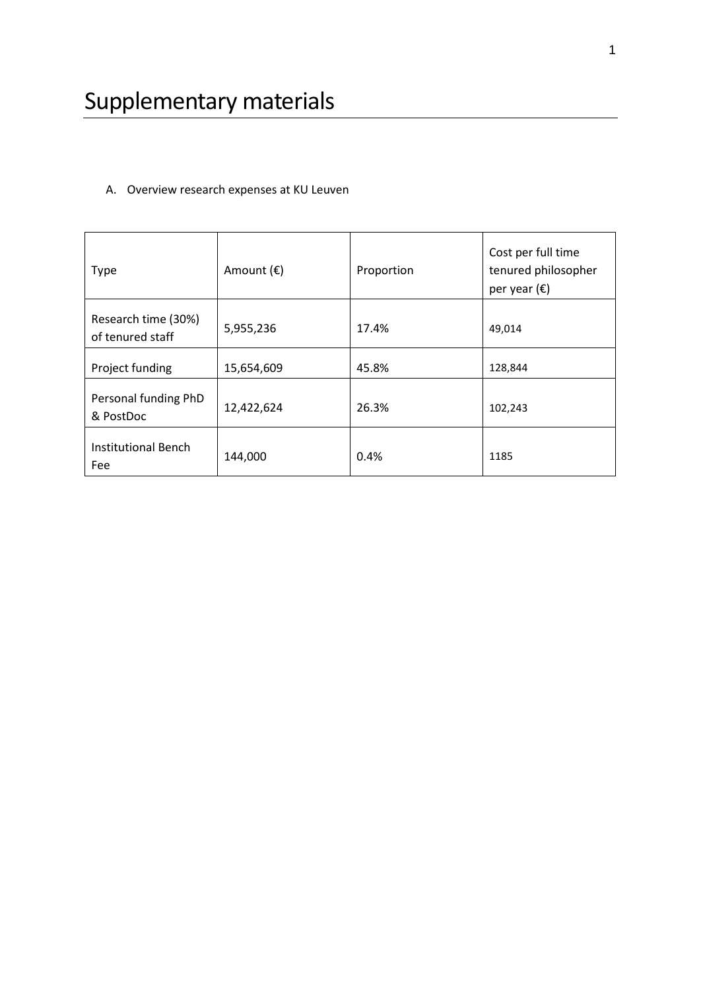# A. Overview research expenses at KU Leuven

| <b>Type</b>                             | Amount $(\epsilon)$ | Proportion | Cost per full time<br>tenured philosopher<br>per year $(\epsilon)$ |
|-----------------------------------------|---------------------|------------|--------------------------------------------------------------------|
| Research time (30%)<br>of tenured staff | 5,955,236           | 17.4%      | 49,014                                                             |
| Project funding                         | 15,654,609          | 45.8%      | 128,844                                                            |
| Personal funding PhD<br>& PostDoc       | 12,422,624          | 26.3%      | 102,243                                                            |
| Institutional Bench<br>Fee              | 144,000             | 0.4%       | 1185                                                               |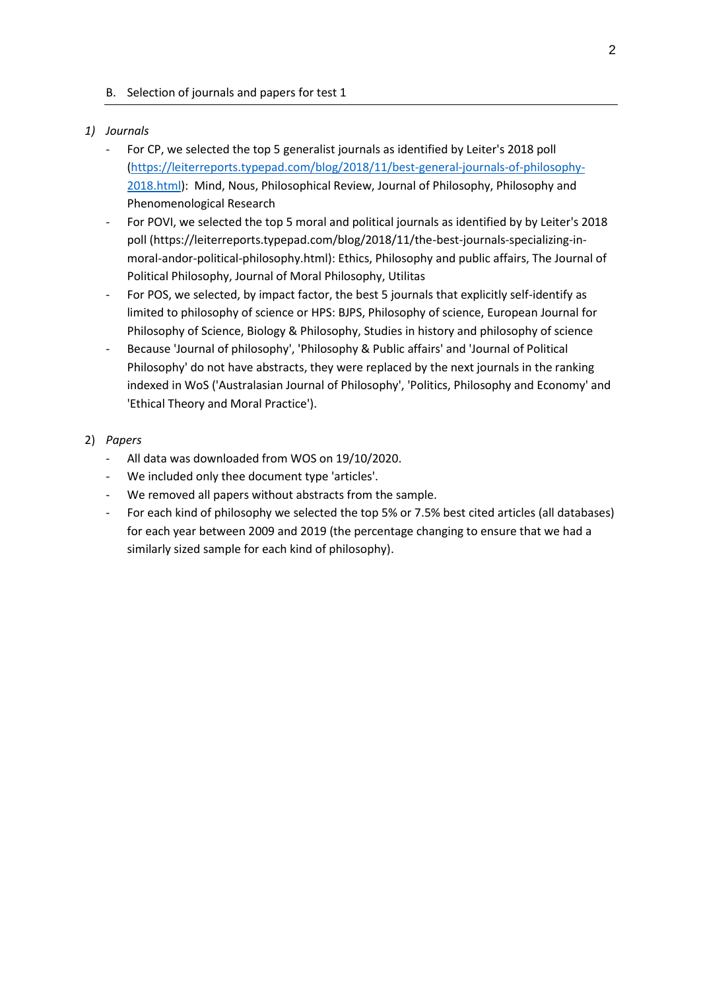### B. Selection of journals and papers for test 1

### *1) Journals*

- For CP, we selected the top 5 generalist journals as identified by Leiter's 2018 poll [\(https://leiterreports.typepad.com/blog/2018/11/best-general-journals-of-philosophy-](https://leiterreports.typepad.com/blog/2018/11/best-general-journals-of-philosophy-2018.html)[2018.html\)](https://leiterreports.typepad.com/blog/2018/11/best-general-journals-of-philosophy-2018.html): Mind, Nous, Philosophical Review, Journal of Philosophy, Philosophy and Phenomenological Research
- For POVI, we selected the top 5 moral and political journals as identified by by Leiter's 2018 poll (https://leiterreports.typepad.com/blog/2018/11/the-best-journals-specializing-inmoral-andor-political-philosophy.html): Ethics, Philosophy and public affairs, The Journal of Political Philosophy, Journal of Moral Philosophy, Utilitas
- For POS, we selected, by impact factor, the best 5 journals that explicitly self-identify as limited to philosophy of science or HPS: BJPS, Philosophy of science, European Journal for Philosophy of Science, Biology & Philosophy, Studies in history and philosophy of science
- Because 'Journal of philosophy', 'Philosophy & Public affairs' and 'Journal of Political Philosophy' do not have abstracts, they were replaced by the next journals in the ranking indexed in WoS ('Australasian Journal of Philosophy', 'Politics, Philosophy and Economy' and 'Ethical Theory and Moral Practice').

### 2) *Papers*

- All data was downloaded from WOS on 19/10/2020.
- We included only thee document type 'articles'.
- We removed all papers without abstracts from the sample.
- For each kind of philosophy we selected the top 5% or 7.5% best cited articles (all databases) for each year between 2009 and 2019 (the percentage changing to ensure that we had a similarly sized sample for each kind of philosophy).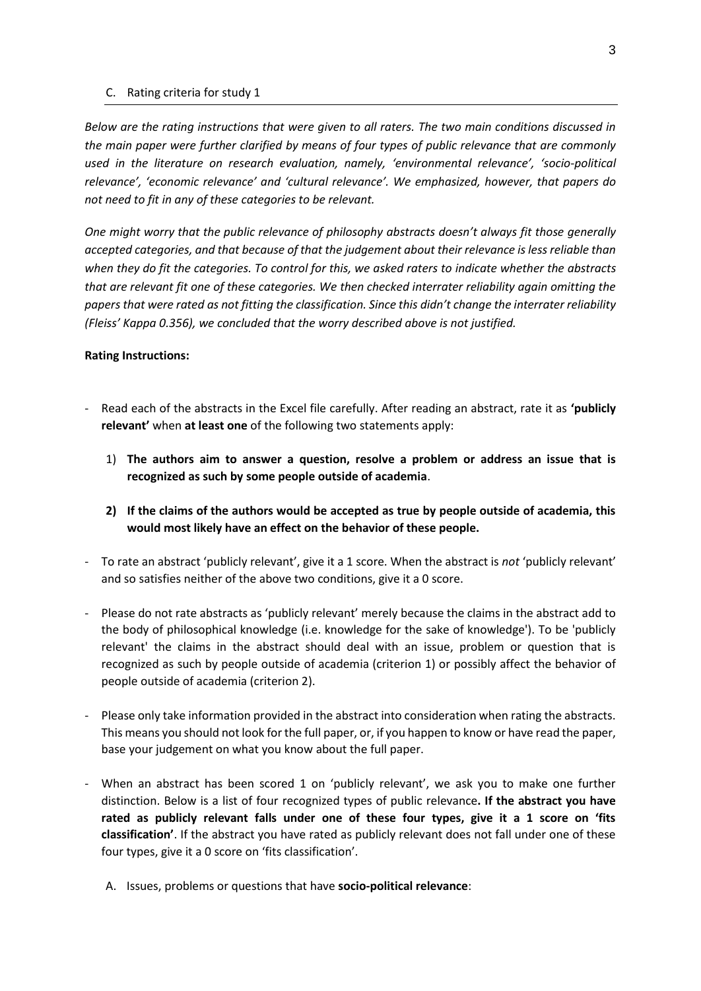#### C. Rating criteria for study 1

*Below are the rating instructions that were given to all raters. The two main conditions discussed in the main paper were further clarified by means of four types of public relevance that are commonly used in the literature on research evaluation, namely, 'environmental relevance', 'socio-political relevance', 'economic relevance' and 'cultural relevance'. We emphasized, however, that papers do not need to fit in any of these categories to be relevant.*

*One might worry that the public relevance of philosophy abstracts doesn't always fit those generally accepted categories, and that because of that the judgement about their relevance is less reliable than when they do fit the categories. To control for this, we asked raters to indicate whether the abstracts that are relevant fit one of these categories. We then checked interrater reliability again omitting the papers that were rated as not fitting the classification. Since this didn't change the interrater reliability (Fleiss' Kappa 0.356), we concluded that the worry described above is not justified.*

#### **Rating Instructions:**

- Read each of the abstracts in the Excel file carefully. After reading an abstract, rate it as **'publicly relevant'** when **at least one** of the following two statements apply:
	- 1) **The authors aim to answer a question, resolve a problem or address an issue that is recognized as such by some people outside of academia**.
	- **2) If the claims of the authors would be accepted as true by people outside of academia, this would most likely have an effect on the behavior of these people.**
- To rate an abstract 'publicly relevant', give it a 1 score. When the abstract is *not* 'publicly relevant' and so satisfies neither of the above two conditions, give it a 0 score.
- Please do not rate abstracts as 'publicly relevant' merely because the claims in the abstract add to the body of philosophical knowledge (i.e. knowledge for the sake of knowledge'). To be 'publicly relevant' the claims in the abstract should deal with an issue, problem or question that is recognized as such by people outside of academia (criterion 1) or possibly affect the behavior of people outside of academia (criterion 2).
- Please only take information provided in the abstract into consideration when rating the abstracts. This means you should not look for the full paper, or, if you happen to know or have read the paper, base your judgement on what you know about the full paper.
- When an abstract has been scored 1 on 'publicly relevant', we ask you to make one further distinction. Below is a list of four recognized types of public relevance**. If the abstract you have rated as publicly relevant falls under one of these four types, give it a 1 score on 'fits classification'**. If the abstract you have rated as publicly relevant does not fall under one of these four types, give it a 0 score on 'fits classification'.
	- A. Issues, problems or questions that have **socio-political relevance**: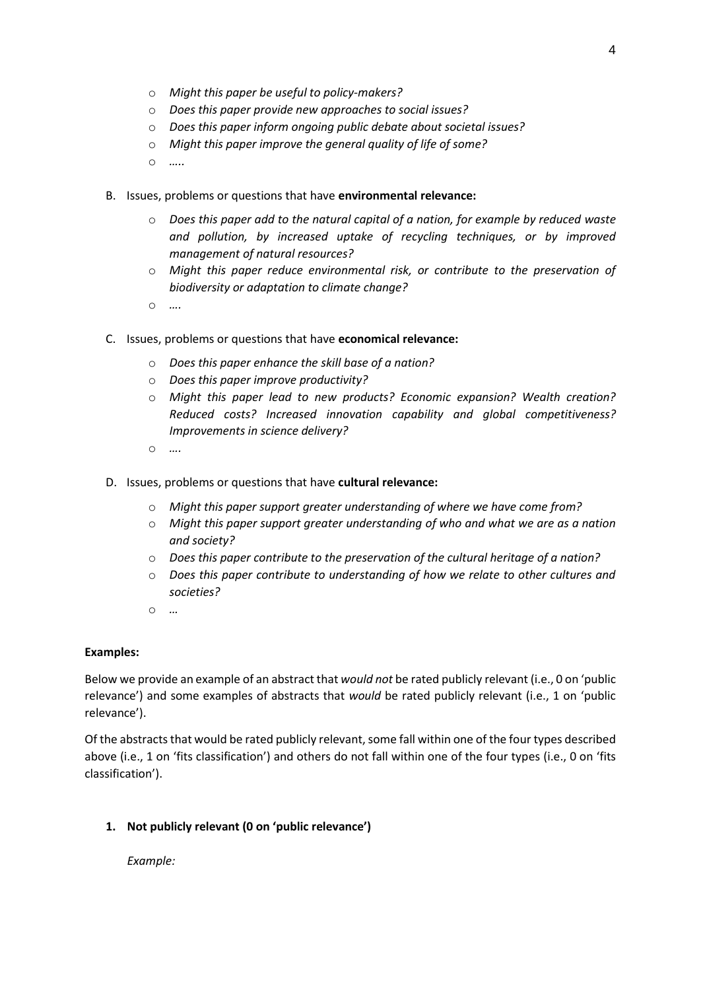4

- o *Might this paper be useful to policy-makers?*
- o *Does this paper provide new approaches to social issues?*
- o *Does this paper inform ongoing public debate about societal issues?*
- o *Might this paper improve the general quality of life of some?*
- o *…..*
- B. Issues, problems or questions that have **environmental relevance:**
	- o *Does this paper add to the natural capital of a nation, for example by reduced waste and pollution, by increased uptake of recycling techniques, or by improved management of natural resources?*
	- o *Might this paper reduce environmental risk, or contribute to the preservation of biodiversity or adaptation to climate change?*
	- o *….*
- C. Issues, problems or questions that have **economical relevance:**
	- o *Does this paper enhance the skill base of a nation?*
	- o *Does this paper improve productivity?*
	- o *Might this paper lead to new products? Economic expansion? Wealth creation? Reduced costs? Increased innovation capability and global competitiveness? Improvements in science delivery?*
	- o *….*
- D. Issues, problems or questions that have **cultural relevance:**
	- o *Might this paper support greater understanding of where we have come from?*
	- o *Might this paper support greater understanding of who and what we are as a nation and society?*
	- o *Does this paper contribute to the preservation of the cultural heritage of a nation?*
	- o *Does this paper contribute to understanding of how we relate to other cultures and societies?*
	- o *…*

## **Examples:**

Below we provide an example of an abstract that *would not* be rated publicly relevant (i.e., 0 on 'public relevance') and some examples of abstracts that *would* be rated publicly relevant (i.e., 1 on 'public relevance').

Of the abstracts that would be rated publicly relevant, some fall within one of the four types described above (i.e., 1 on 'fits classification') and others do not fall within one of the four types (i.e., 0 on 'fits classification').

## **1. Not publicly relevant (0 on 'public relevance')**

*Example:*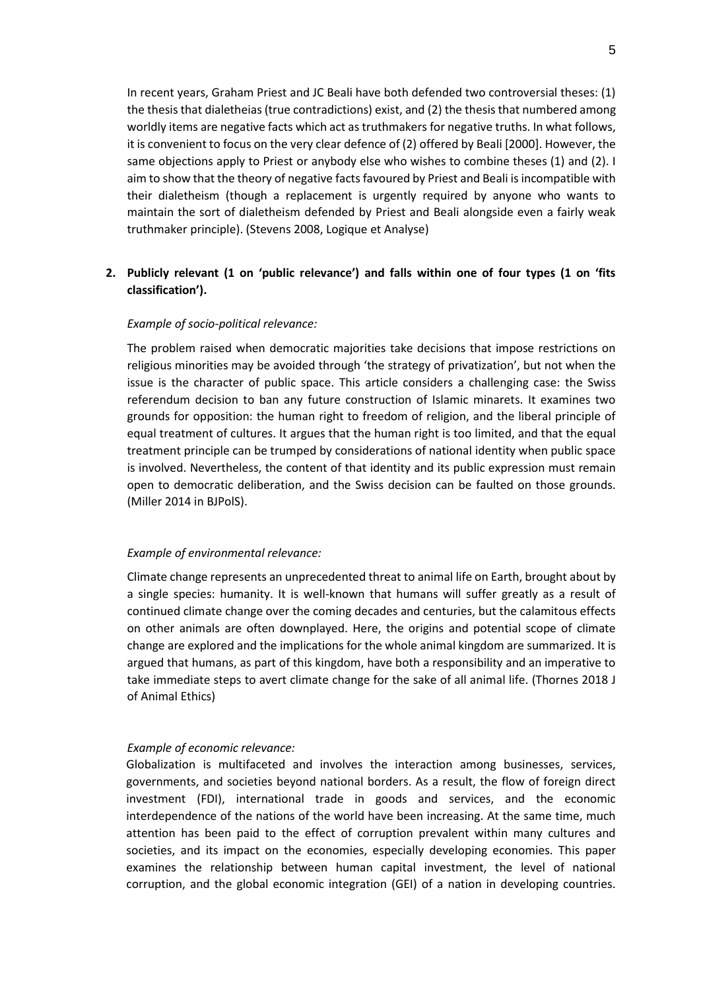In recent years, Graham Priest and JC Beali have both defended two controversial theses: (1) the thesis that dialetheias (true contradictions) exist, and (2) the thesis that numbered among worldly items are negative facts which act as truthmakers for negative truths. In what follows, it is convenient to focus on the very clear defence of (2) offered by Beali [2000]. However, the same objections apply to Priest or anybody else who wishes to combine theses (1) and (2). I aim to show that the theory of negative facts favoured by Priest and Beali is incompatible with their dialetheism (though a replacement is urgently required by anyone who wants to maintain the sort of dialetheism defended by Priest and Beali alongside even a fairly weak truthmaker principle). (Stevens 2008, Logique et Analyse)

## **2. Publicly relevant (1 on 'public relevance') and falls within one of four types (1 on 'fits classification').**

#### *Example of socio-political relevance:*

The problem raised when democratic majorities take decisions that impose restrictions on religious minorities may be avoided through 'the strategy of privatization', but not when the issue is the character of public space. This article considers a challenging case: the Swiss referendum decision to ban any future construction of Islamic minarets. It examines two grounds for opposition: the human right to freedom of religion, and the liberal principle of equal treatment of cultures. It argues that the human right is too limited, and that the equal treatment principle can be trumped by considerations of national identity when public space is involved. Nevertheless, the content of that identity and its public expression must remain open to democratic deliberation, and the Swiss decision can be faulted on those grounds. (Miller 2014 in BJPolS).

#### *Example of environmental relevance:*

Climate change represents an unprecedented threat to animal life on Earth, brought about by a single species: humanity. It is well-known that humans will suffer greatly as a result of continued climate change over the coming decades and centuries, but the calamitous effects on other animals are often downplayed. Here, the origins and potential scope of climate change are explored and the implications for the whole animal kingdom are summarized. It is argued that humans, as part of this kingdom, have both a responsibility and an imperative to take immediate steps to avert climate change for the sake of all animal life. (Thornes 2018 J of Animal Ethics)

#### *Example of economic relevance:*

Globalization is multifaceted and involves the interaction among businesses, services, governments, and societies beyond national borders. As a result, the flow of foreign direct investment (FDI), international trade in goods and services, and the economic interdependence of the nations of the world have been increasing. At the same time, much attention has been paid to the effect of corruption prevalent within many cultures and societies, and its impact on the economies, especially developing economies. This paper examines the relationship between human capital investment, the level of national corruption, and the global economic integration (GEI) of a nation in developing countries.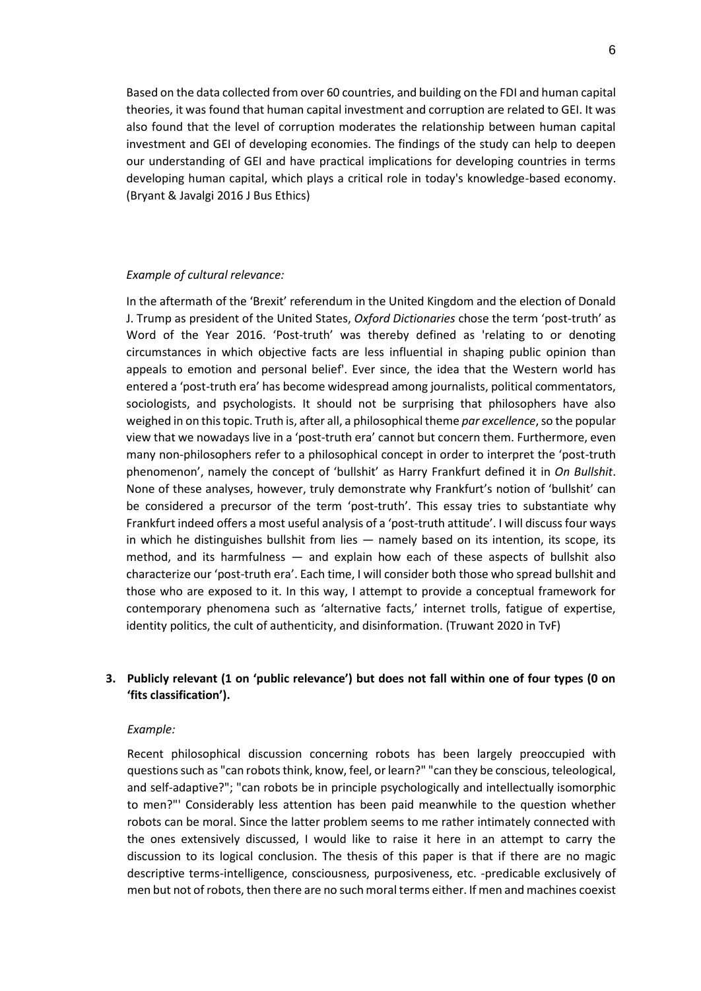Based on the data collected from over 60 countries, and building on the FDI and human capital theories, it was found that human capital investment and corruption are related to GEI. It was also found that the level of corruption moderates the relationship between human capital investment and GEI of developing economies. The findings of the study can help to deepen our understanding of GEI and have practical implications for developing countries in terms developing human capital, which plays a critical role in today's knowledge-based economy. (Bryant & Javalgi 2016 J Bus Ethics)

#### *Example of cultural relevance:*

In the aftermath of the 'Brexit' referendum in the United Kingdom and the election of Donald J. Trump as president of the United States, *Oxford Dictionaries* chose the term 'post-truth' as Word of the Year 2016. 'Post-truth' was thereby defined as 'relating to or denoting circumstances in which objective facts are less influential in shaping public opinion than appeals to emotion and personal belief'. Ever since, the idea that the Western world has entered a 'post-truth era' has become widespread among journalists, political commentators, sociologists, and psychologists. It should not be surprising that philosophers have also weighed in on this topic. Truth is, after all, a philosophical theme *par excellence*, so the popular view that we nowadays live in a 'post-truth era' cannot but concern them. Furthermore, even many non-philosophers refer to a philosophical concept in order to interpret the 'post-truth phenomenon', namely the concept of 'bullshit' as Harry Frankfurt defined it in *On Bullshit*. None of these analyses, however, truly demonstrate why Frankfurt's notion of 'bullshit' can be considered a precursor of the term 'post-truth'. This essay tries to substantiate why Frankfurt indeed offers a most useful analysis of a 'post-truth attitude'. I will discuss four ways in which he distinguishes bullshit from lies — namely based on its intention, its scope, its method, and its harmfulness — and explain how each of these aspects of bullshit also characterize our 'post-truth era'. Each time, I will consider both those who spread bullshit and those who are exposed to it. In this way, I attempt to provide a conceptual framework for contemporary phenomena such as 'alternative facts,' internet trolls, fatigue of expertise, identity politics, the cult of authenticity, and disinformation. (Truwant 2020 in TvF)

## **3. Publicly relevant (1 on 'public relevance') but does not fall within one of four types (0 on 'fits classification').**

#### *Example:*

Recent philosophical discussion concerning robots has been largely preoccupied with questions such as "can robots think, know, feel, or learn?" "can they be conscious, teleological, and self-adaptive?"; "can robots be in principle psychologically and intellectually isomorphic to men?"' Considerably less attention has been paid meanwhile to the question whether robots can be moral. Since the latter problem seems to me rather intimately connected with the ones extensively discussed, I would like to raise it here in an attempt to carry the discussion to its logical conclusion. The thesis of this paper is that if there are no magic descriptive terms-intelligence, consciousness, purposiveness, etc. -predicable exclusively of men but not of robots, then there are no such moral terms either. If men and machines coexist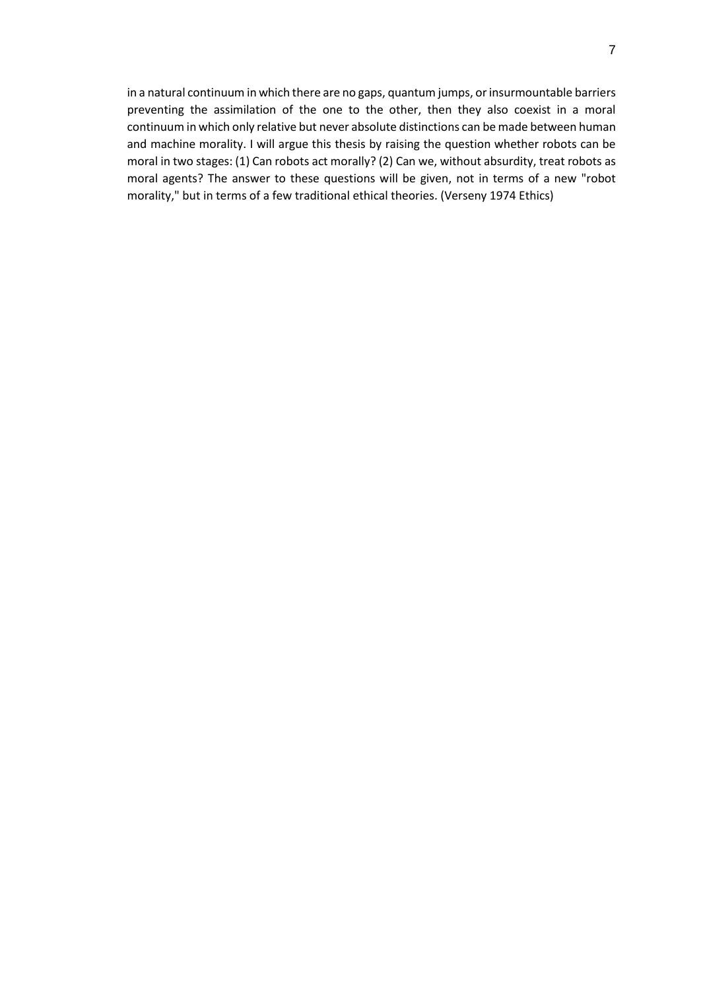in a natural continuum in which there are no gaps, quantum jumps, or insurmountable barriers preventing the assimilation of the one to the other, then they also coexist in a moral continuum in which only relative but never absolute distinctions can be made between human and machine morality. I will argue this thesis by raising the question whether robots can be moral in two stages: (1) Can robots act morally? (2) Can we, without absurdity, treat robots as moral agents? The answer to these questions will be given, not in terms of a new "robot morality," but in terms of a few traditional ethical theories. (Verseny 1974 Ethics)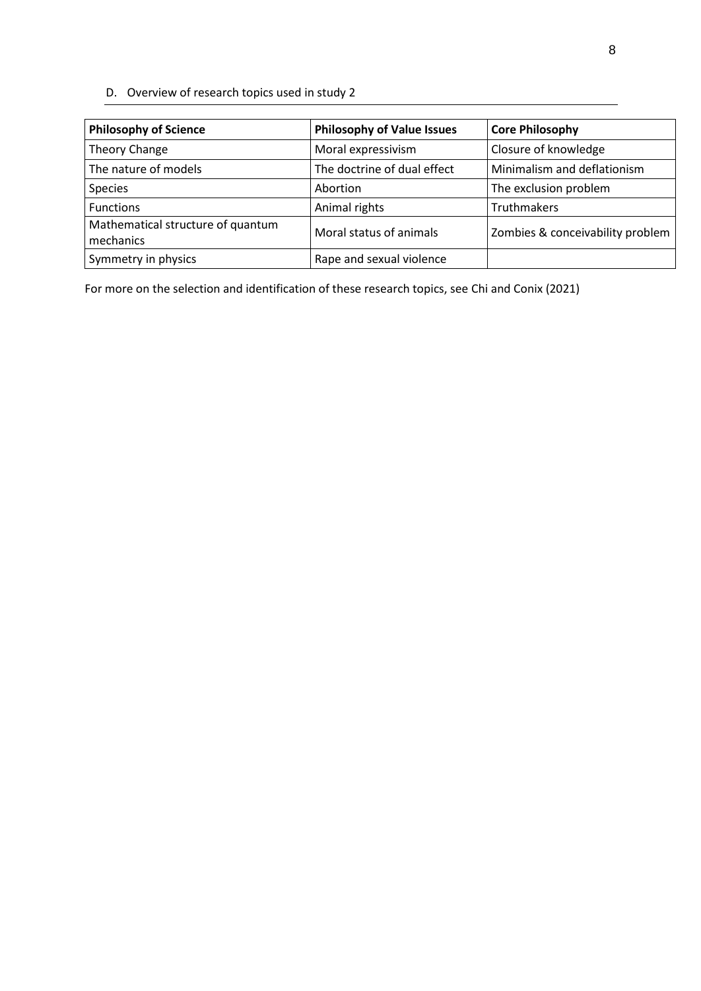D. Overview of research topics used in study 2

| <b>Philosophy of Science</b>                   | <b>Philosophy of Value Issues</b> | <b>Core Philosophy</b>           |
|------------------------------------------------|-----------------------------------|----------------------------------|
| Theory Change                                  | Moral expressivism                | Closure of knowledge             |
| The nature of models                           | The doctrine of dual effect       | Minimalism and deflationism      |
| Species                                        | Abortion                          | The exclusion problem            |
| <b>Functions</b>                               | Animal rights                     | Truthmakers                      |
| Mathematical structure of quantum<br>mechanics | Moral status of animals           | Zombies & conceivability problem |
| Symmetry in physics                            | Rape and sexual violence          |                                  |

For more on the selection and identification of these research topics, see Chi and Conix (2021)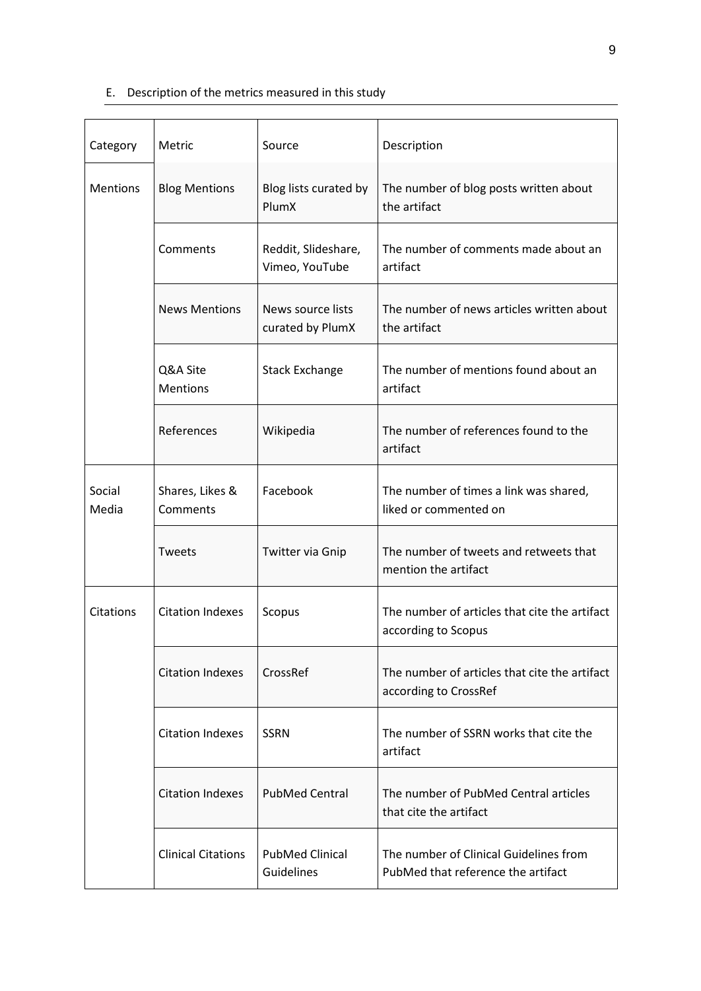# E. Description of the metrics measured in this study

| Category        | Metric                      | Source                                | Description                                                                  |
|-----------------|-----------------------------|---------------------------------------|------------------------------------------------------------------------------|
| <b>Mentions</b> | <b>Blog Mentions</b>        | Blog lists curated by<br>PlumX        | The number of blog posts written about<br>the artifact                       |
|                 | Comments                    | Reddit, Slideshare,<br>Vimeo, YouTube | The number of comments made about an<br>artifact                             |
|                 | <b>News Mentions</b>        | News source lists<br>curated by PlumX | The number of news articles written about<br>the artifact                    |
|                 | Q&A Site<br><b>Mentions</b> | <b>Stack Exchange</b>                 | The number of mentions found about an<br>artifact                            |
|                 | References                  | Wikipedia                             | The number of references found to the<br>artifact                            |
| Social<br>Media | Shares, Likes &<br>Comments | Facebook                              | The number of times a link was shared,<br>liked or commented on              |
|                 | <b>Tweets</b>               | Twitter via Gnip                      | The number of tweets and retweets that<br>mention the artifact               |
| Citations       | <b>Citation Indexes</b>     | Scopus                                | The number of articles that cite the artifact<br>according to Scopus         |
|                 | <b>Citation Indexes</b>     | CrossRef                              | The number of articles that cite the artifact<br>according to CrossRef       |
|                 | <b>Citation Indexes</b>     | <b>SSRN</b>                           | The number of SSRN works that cite the<br>artifact                           |
|                 | <b>Citation Indexes</b>     | <b>PubMed Central</b>                 | The number of PubMed Central articles<br>that cite the artifact              |
|                 | <b>Clinical Citations</b>   | <b>PubMed Clinical</b><br>Guidelines  | The number of Clinical Guidelines from<br>PubMed that reference the artifact |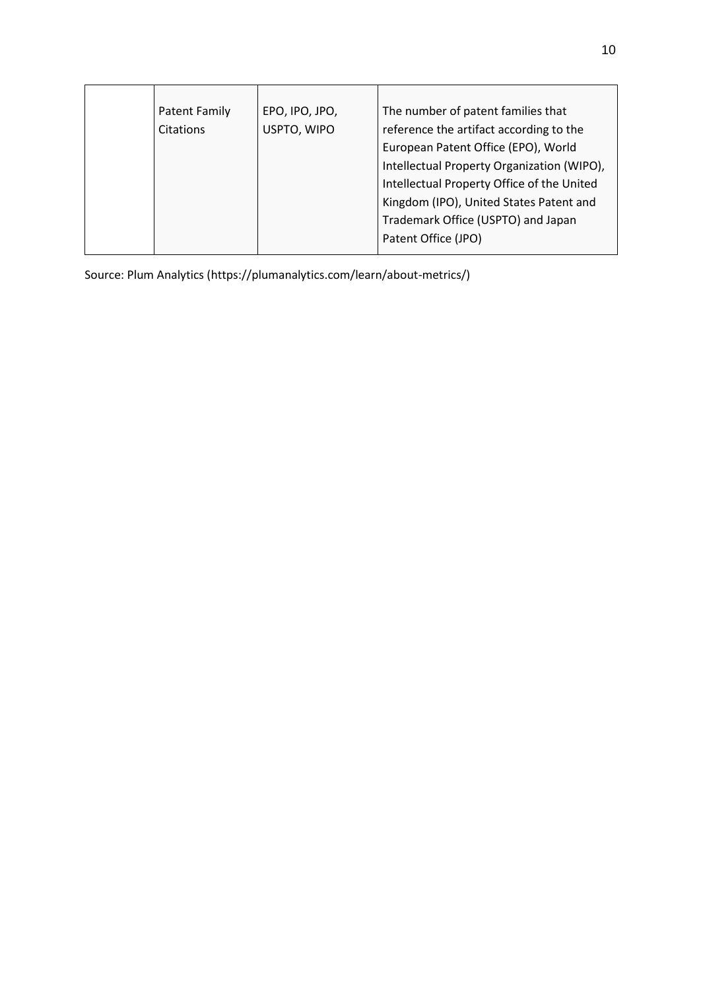| Patent Family | EPO, IPO, JPO, | The number of patent families that         |
|---------------|----------------|--------------------------------------------|
| Citations     | USPTO, WIPO    | reference the artifact according to the    |
|               |                | European Patent Office (EPO), World        |
|               |                | Intellectual Property Organization (WIPO), |
|               |                | Intellectual Property Office of the United |
|               |                | Kingdom (IPO), United States Patent and    |
|               |                | Trademark Office (USPTO) and Japan         |
|               |                | Patent Office (JPO)                        |
|               |                |                                            |

Source: Plum Analytics [\(https://plumanalytics.com/learn/about-metrics/\)](https://plumanalytics.com/learn/about-metrics/)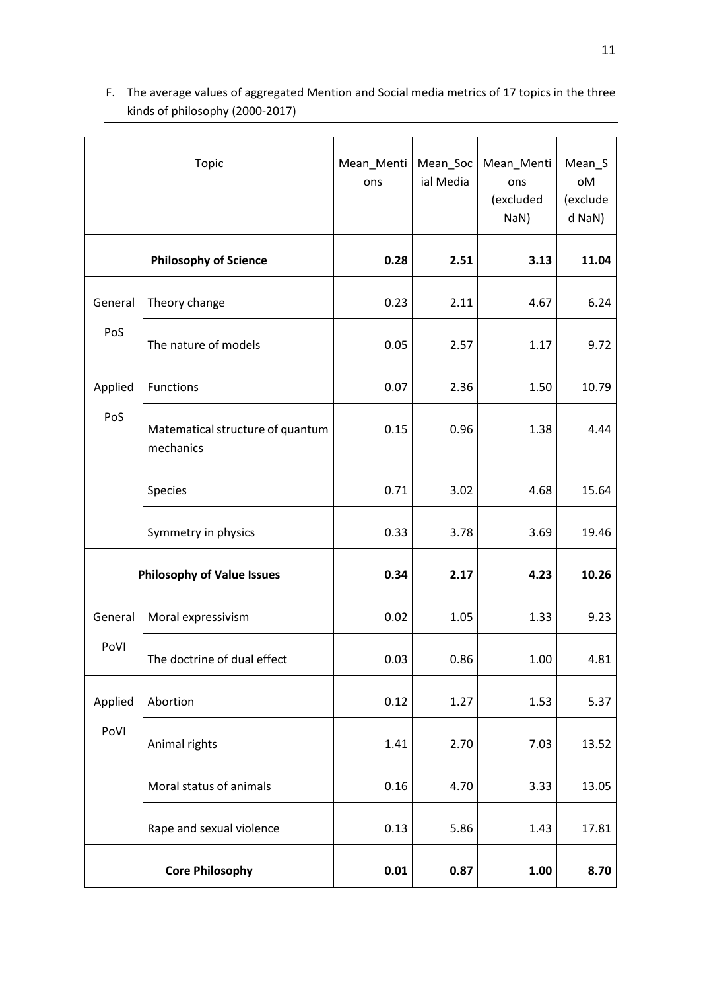| <b>Topic</b>                      |                                               | Mean_Menti<br>ons | Mean_Soc<br>ial Media | Mean_Menti<br>ons<br>(excluded<br>NaN) | Mean_S<br>oМ<br>(exclude<br>d NaN) |
|-----------------------------------|-----------------------------------------------|-------------------|-----------------------|----------------------------------------|------------------------------------|
| <b>Philosophy of Science</b>      |                                               | 0.28              | 2.51                  | 3.13                                   | 11.04                              |
| General                           | Theory change                                 | 0.23              | 2.11                  | 4.67                                   | 6.24                               |
| PoS                               | The nature of models                          | 0.05              | 2.57                  | 1.17                                   | 9.72                               |
| Applied                           | <b>Functions</b>                              | 0.07              | 2.36                  | 1.50                                   | 10.79                              |
| PoS                               | Matematical structure of quantum<br>mechanics | 0.15              | 0.96                  | 1.38                                   | 4.44                               |
|                                   | Species                                       | 0.71              | 3.02                  | 4.68                                   | 15.64                              |
|                                   | Symmetry in physics                           | 0.33              | 3.78                  | 3.69                                   | 19.46                              |
| <b>Philosophy of Value Issues</b> |                                               | 0.34              | 2.17                  | 4.23                                   | 10.26                              |
| General                           | Moral expressivism                            | 0.02              | 1.05                  | 1.33                                   | 9.23                               |
| PoVI                              | The doctrine of dual effect                   | 0.03              | 0.86                  | 1.00                                   | 4.81                               |
| Applied                           | Abortion                                      | 0.12              | 1.27                  | 1.53                                   | 5.37                               |
| PoVI                              | Animal rights                                 | 1.41              | 2.70                  | 7.03                                   | 13.52                              |
|                                   | Moral status of animals                       | 0.16              | 4.70                  | 3.33                                   | 13.05                              |
|                                   | Rape and sexual violence                      | 0.13              | 5.86                  | 1.43                                   | 17.81                              |
|                                   | <b>Core Philosophy</b>                        | 0.01              | 0.87                  | 1.00                                   | 8.70                               |

F. The average values of aggregated Mention and Social media metrics of 17 topics in the three kinds of philosophy (2000-2017)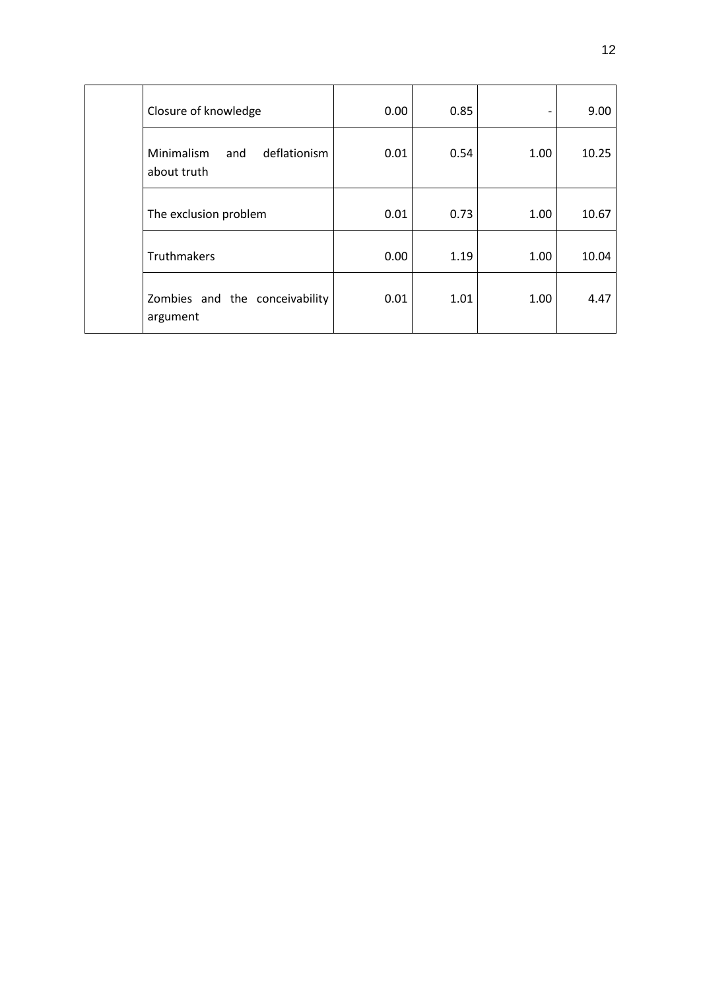| Closure of knowledge                             | 0.00 | 0.85 | $\overline{\phantom{a}}$ | 9.00  |
|--------------------------------------------------|------|------|--------------------------|-------|
| Minimalism<br>deflationism<br>and<br>about truth | 0.01 | 0.54 | 1.00                     | 10.25 |
| The exclusion problem                            | 0.01 | 0.73 | 1.00                     | 10.67 |
| Truthmakers                                      | 0.00 | 1.19 | 1.00                     | 10.04 |
| Zombies and the conceivability<br>argument       | 0.01 | 1.01 | 1.00                     | 4.47  |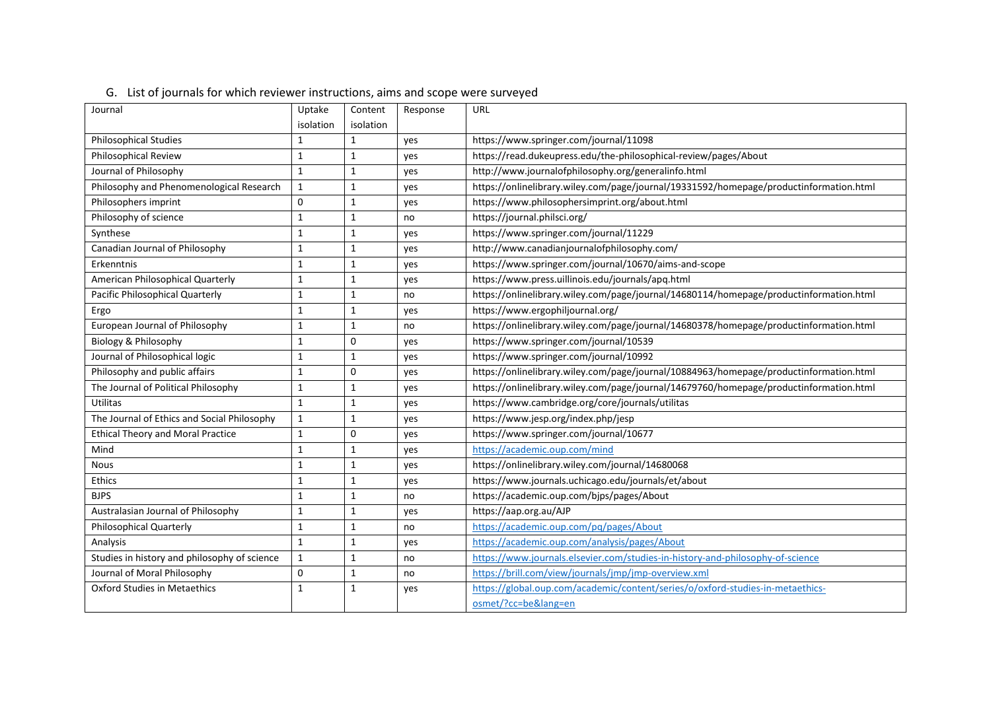| Journal                                      | Uptake       | Content      | Response | URL                                                                                    |
|----------------------------------------------|--------------|--------------|----------|----------------------------------------------------------------------------------------|
|                                              | isolation    | isolation    |          |                                                                                        |
| <b>Philosophical Studies</b>                 | $\mathbf{1}$ | 1            | yes      | https://www.springer.com/journal/11098                                                 |
| Philosophical Review                         | $\mathbf 1$  | $\mathbf{1}$ | yes      | https://read.dukeupress.edu/the-philosophical-review/pages/About                       |
| Journal of Philosophy                        | $\mathbf{1}$ | $\mathbf{1}$ | yes      | http://www.journalofphilosophy.org/generalinfo.html                                    |
| Philosophy and Phenomenological Research     | $\mathbf{1}$ | $\mathbf{1}$ | yes      | https://onlinelibrary.wiley.com/page/journal/19331592/homepage/productinformation.html |
| Philosophers imprint                         | $\pmb{0}$    | $\mathbf{1}$ | yes      | https://www.philosophersimprint.org/about.html                                         |
| Philosophy of science                        | $\mathbf{1}$ | $\mathbf{1}$ | no       | https://journal.philsci.org/                                                           |
| Synthese                                     | $\mathbf{1}$ | $\mathbf{1}$ | yes      | https://www.springer.com/journal/11229                                                 |
| Canadian Journal of Philosophy               | $\mathbf{1}$ | $\mathbf{1}$ | yes      | http://www.canadianjournalofphilosophy.com/                                            |
| Erkenntnis                                   | $\mathbf{1}$ | $\mathbf{1}$ | yes      | https://www.springer.com/journal/10670/aims-and-scope                                  |
| American Philosophical Quarterly             | $\mathbf{1}$ | $\mathbf{1}$ | yes      | https://www.press.uillinois.edu/journals/apq.html                                      |
| Pacific Philosophical Quarterly              | $\mathbf{1}$ | 1            | no       | https://onlinelibrary.wiley.com/page/journal/14680114/homepage/productinformation.html |
| Ergo                                         | $\mathbf 1$  | $\mathbf{1}$ | yes      | https://www.ergophiljournal.org/                                                       |
| European Journal of Philosophy               | $\mathbf{1}$ | $\mathbf{1}$ | no       | https://onlinelibrary.wiley.com/page/journal/14680378/homepage/productinformation.html |
| Biology & Philosophy                         | $\mathbf{1}$ | $\mathbf 0$  | yes      | https://www.springer.com/journal/10539                                                 |
| Journal of Philosophical logic               | $\mathbf 1$  | $\mathbf{1}$ | yes      | https://www.springer.com/journal/10992                                                 |
| Philosophy and public affairs                | $\mathbf{1}$ | $\Omega$     | yes      | https://onlinelibrary.wiley.com/page/journal/10884963/homepage/productinformation.html |
| The Journal of Political Philosophy          | $\mathbf{1}$ | $\mathbf{1}$ | yes      | https://onlinelibrary.wiley.com/page/journal/14679760/homepage/productinformation.html |
| Utilitas                                     | $\mathbf{1}$ | $\mathbf{1}$ | yes      | https://www.cambridge.org/core/journals/utilitas                                       |
| The Journal of Ethics and Social Philosophy  | $\mathbf{1}$ | $\mathbf{1}$ | yes      | https://www.jesp.org/index.php/jesp                                                    |
| <b>Ethical Theory and Moral Practice</b>     | $\mathbf{1}$ | $\mathbf 0$  | yes      | https://www.springer.com/journal/10677                                                 |
| Mind                                         | $\mathbf{1}$ | $\mathbf{1}$ | yes      | https://academic.oup.com/mind                                                          |
| <b>Nous</b>                                  | $\mathbf{1}$ | $\mathbf{1}$ | yes      | https://onlinelibrary.wiley.com/journal/14680068                                       |
| Ethics                                       | $\mathbf{1}$ | $\mathbf{1}$ | yes      | https://www.journals.uchicago.edu/journals/et/about                                    |
| <b>BJPS</b>                                  | $\mathbf{1}$ | $\mathbf{1}$ | no       | https://academic.oup.com/bjps/pages/About                                              |
| Australasian Journal of Philosophy           | $\mathbf{1}$ | $\mathbf{1}$ | yes      | https://aap.org.au/AJP                                                                 |
| <b>Philosophical Quarterly</b>               | $\mathbf{1}$ | $\mathbf{1}$ | no       | https://academic.oup.com/pq/pages/About                                                |
| Analysis                                     | $\mathbf{1}$ | $\mathbf{1}$ | yes      | https://academic.oup.com/analysis/pages/About                                          |
| Studies in history and philosophy of science | $\mathbf{1}$ | $\mathbf{1}$ | no       | https://www.journals.elsevier.com/studies-in-history-and-philosophy-of-science         |
| Journal of Moral Philosophy                  | 0            | $\mathbf{1}$ | no       | https://brill.com/view/iournals/imp/imp-overview.xml                                   |
| Oxford Studies in Metaethics                 | $\mathbf{1}$ | 1            | yes      | https://global.oup.com/academic/content/series/o/oxford-studies-in-metaethics-         |
|                                              |              |              |          | osmet/?cc=be⟨=en                                                                       |

# G. List of journals for which reviewer instructions, aims and scope were surveyed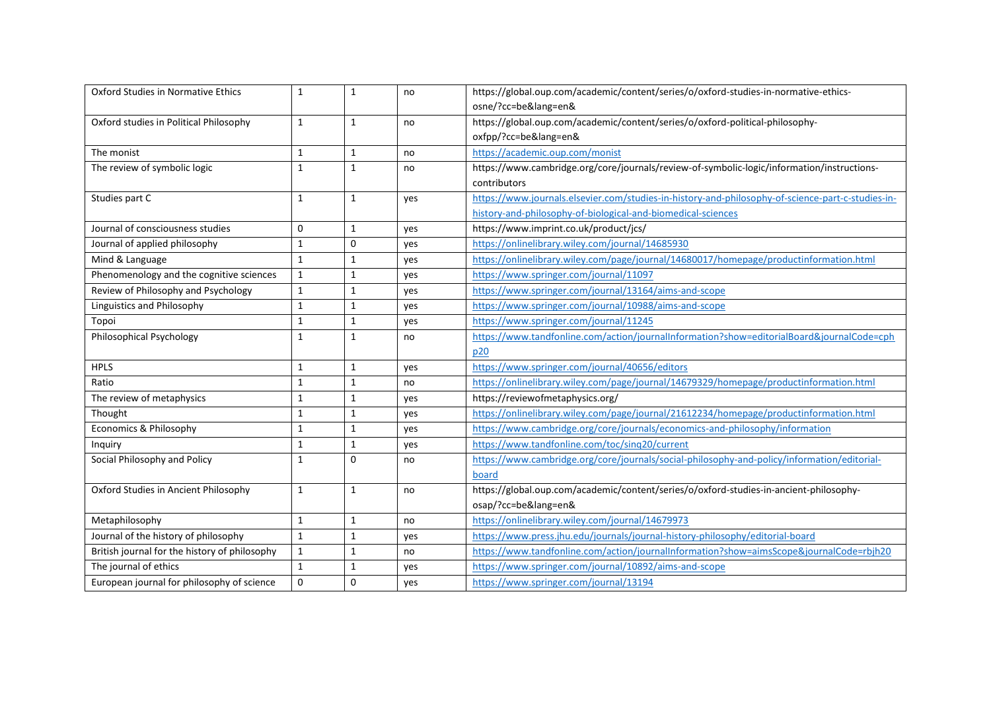| Oxford Studies in Normative Ethics            | $\mathbf{1}$ | $\mathbf{1}$ | no  | https://global.oup.com/academic/content/series/o/oxford-studies-in-normative-ethics-              |  |
|-----------------------------------------------|--------------|--------------|-----|---------------------------------------------------------------------------------------------------|--|
|                                               |              |              |     | osne/?cc=be⟨=en&                                                                                  |  |
| Oxford studies in Political Philosophy        | $\mathbf{1}$ | $\mathbf{1}$ | no  | https://global.oup.com/academic/content/series/o/oxford-political-philosophy-                     |  |
|                                               |              |              |     | oxfpp/?cc=be⟨=en&                                                                                 |  |
| The monist                                    | $\mathbf{1}$ | $\mathbf{1}$ | no  | https://academic.oup.com/monist                                                                   |  |
| The review of symbolic logic                  | $\mathbf{1}$ | $\mathbf{1}$ | no  | https://www.cambridge.org/core/journals/review-of-symbolic-logic/information/instructions-        |  |
|                                               |              |              |     | contributors                                                                                      |  |
| Studies part C                                | $\mathbf{1}$ | $\mathbf{1}$ | yes | https://www.journals.elsevier.com/studies-in-history-and-philosophy-of-science-part-c-studies-in- |  |
|                                               |              |              |     | history-and-philosophy-of-biological-and-biomedical-sciences                                      |  |
| Journal of consciousness studies              | $\mathbf 0$  | $\mathbf{1}$ | yes | https://www.imprint.co.uk/product/jcs/                                                            |  |
| Journal of applied philosophy                 | $\mathbf{1}$ | $\mathbf 0$  | yes | https://onlinelibrary.wiley.com/journal/14685930                                                  |  |
| Mind & Language                               | $\mathbf{1}$ | 1            | yes | https://onlinelibrary.wiley.com/page/journal/14680017/homepage/productinformation.html            |  |
| Phenomenology and the cognitive sciences      | $\mathbf{1}$ | $\mathbf{1}$ | yes | https://www.springer.com/journal/11097                                                            |  |
| Review of Philosophy and Psychology           | $\mathbf{1}$ | $\mathbf{1}$ | yes | https://www.springer.com/journal/13164/aims-and-scope                                             |  |
| <b>Linguistics and Philosophy</b>             | $\mathbf{1}$ | $\mathbf{1}$ | yes | https://www.springer.com/journal/10988/aims-and-scope                                             |  |
| Topoi                                         | $\mathbf{1}$ | $\mathbf{1}$ | yes | https://www.springer.com/journal/11245                                                            |  |
| <b>Philosophical Psychology</b>               | $\mathbf{1}$ | $\mathbf{1}$ | no  | https://www.tandfonline.com/action/journalInformation?show=editorialBoard&journalCode=cph         |  |
|                                               |              |              |     | p20                                                                                               |  |
| <b>HPLS</b>                                   | $\mathbf{1}$ | $\mathbf{1}$ | yes | https://www.springer.com/journal/40656/editors                                                    |  |
| Ratio                                         | $\mathbf{1}$ | $\mathbf{1}$ | no  | https://onlinelibrary.wiley.com/page/journal/14679329/homepage/productinformation.html            |  |
| The review of metaphysics                     | $\mathbf{1}$ | 1            | yes | https://reviewofmetaphysics.org/                                                                  |  |
| Thought                                       | $\mathbf{1}$ | $\mathbf{1}$ | yes | https://onlinelibrary.wiley.com/page/journal/21612234/homepage/productinformation.html            |  |
| Economics & Philosophy                        | $\mathbf{1}$ | $\mathbf{1}$ | yes | https://www.cambridge.org/core/journals/economics-and-philosophy/information                      |  |
| Inquiry                                       | $\mathbf{1}$ | $\mathbf{1}$ | yes | https://www.tandfonline.com/toc/sing20/current                                                    |  |
| Social Philosophy and Policy                  | $\mathbf{1}$ | $\Omega$     | no  | https://www.cambridge.org/core/journals/social-philosophy-and-policy/information/editorial-       |  |
|                                               |              |              |     | board                                                                                             |  |
| Oxford Studies in Ancient Philosophy          | $\mathbf{1}$ | $\mathbf{1}$ | no  | https://global.oup.com/academic/content/series/o/oxford-studies-in-ancient-philosophy-            |  |
|                                               |              |              |     | osap/?cc=be⟨=en&                                                                                  |  |
| Metaphilosophy                                | $\mathbf{1}$ | $\mathbf{1}$ | no  | https://onlinelibrary.wiley.com/journal/14679973                                                  |  |
| Journal of the history of philosophy          | $\mathbf{1}$ | $\mathbf{1}$ | yes | https://www.press.jhu.edu/journals/journal-history-philosophy/editorial-board                     |  |
| British journal for the history of philosophy | $\mathbf 1$  | $\mathbf{1}$ | no  | https://www.tandfonline.com/action/journalInformation?show=aimsScope&journalCode=rbjh20           |  |
| The journal of ethics                         | $\mathbf{1}$ | $\mathbf{1}$ | yes | https://www.springer.com/journal/10892/aims-and-scope                                             |  |
| European journal for philosophy of science    | $\mathbf 0$  | $\mathbf 0$  | yes | https://www.springer.com/journal/13194                                                            |  |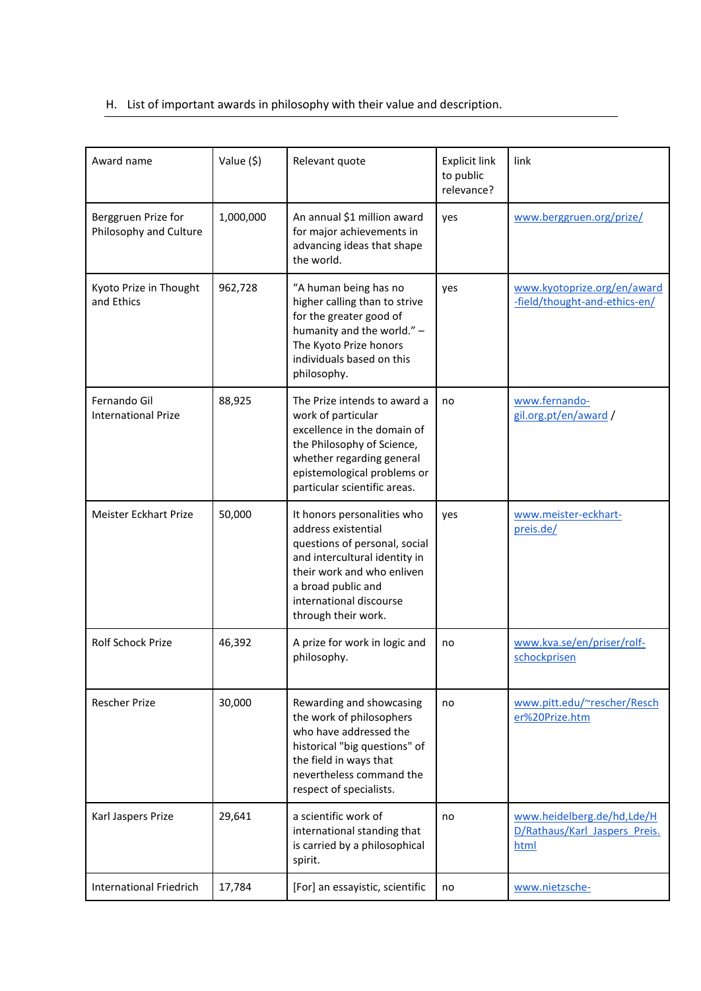# H. List of important awards in philosophy with their value and description.

| Award name                                    | Value (\$) | Relevant quote                                                                                                                                                                                                             | <b>Explicit link</b><br>to public<br>relevance? | link                                                                |
|-----------------------------------------------|------------|----------------------------------------------------------------------------------------------------------------------------------------------------------------------------------------------------------------------------|-------------------------------------------------|---------------------------------------------------------------------|
| Berggruen Prize for<br>Philosophy and Culture | 1,000,000  | An annual \$1 million award<br>for major achievements in<br>advancing ideas that shape<br>the world.                                                                                                                       | yes                                             | www.berggruen.org/prize/                                            |
| Kyoto Prize in Thought<br>and Ethics          | 962,728    | "A human being has no<br>higher calling than to strive<br>for the greater good of<br>humanity and the world." -<br>The Kyoto Prize honors<br>individuals based on this<br>philosophy.                                      | yes                                             | www.kyotoprize.org/en/award<br>-field/thought-and-ethics-en/        |
| Fernando Gil<br><b>International Prize</b>    | 88,925     | The Prize intends to award a<br>work of particular<br>excellence in the domain of<br>the Philosophy of Science,<br>whether regarding general<br>epistemological problems or<br>particular scientific areas.                | no                                              | www.fernando-<br>gil.org.pt/en/award/                               |
| <b>Meister Eckhart Prize</b>                  | 50,000     | It honors personalities who<br>address existential<br>questions of personal, social<br>and intercultural identity in<br>their work and who enliven<br>a broad public and<br>international discourse<br>through their work. | yes                                             | www.meister-eckhart-<br>preis.de/                                   |
| <b>Rolf Schock Prize</b>                      | 46,392     | A prize for work in logic and<br>philosophy.                                                                                                                                                                               | no                                              | www.kva.se/en/priser/rolf-<br>schockprisen                          |
| <b>Rescher Prize</b>                          | 30,000     | Rewarding and showcasing<br>the work of philosophers<br>who have addressed the<br>historical "big questions" of<br>the field in ways that<br>nevertheless command the<br>respect of specialists.                           | no                                              | www.pitt.edu/~rescher/Resch<br>er%20Prize.htm                       |
| Karl Jaspers Prize                            | 29,641     | a scientific work of<br>international standing that<br>is carried by a philosophical<br>spirit.                                                                                                                            | no                                              | www.heidelberg.de/hd,Lde/H<br>D/Rathaus/Karl Jaspers Preis.<br>html |
| <b>International Friedrich</b>                | 17,784     | [For] an essayistic, scientific                                                                                                                                                                                            | no                                              | www.nietzsche-                                                      |